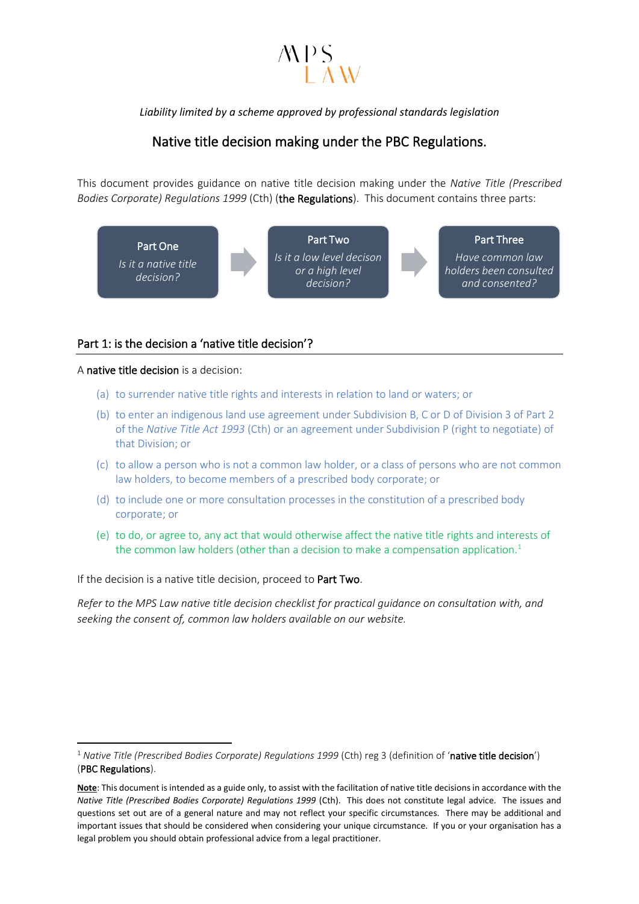## $\angle APS$

*Liability limited by a scheme approved by professional standards legislation*

## Native title decision making under the PBC Regulations.

This document provides guidance on native title decision making under the *Native Title (Prescribed Bodies Corporate) Regulations 1999* (Cth) (the Regulations). This document contains three parts:



### Part 1: is the decision a 'native title decision'?

#### A native title decision is a decision:

- (a) to surrender native title rights and interests in relation to land or waters; or
- (b) to enter an indigenous land use agreement under Subdivision B, C or D of Division 3 of Part 2 of the *Native Title Act 1993* (Cth) or an agreement under Subdivision P (right to negotiate) of that Division; or
- (c) to allow a person who is not a common law holder, or a class of persons who are not common law holders, to become members of a prescribed body corporate; or
- (d) to include one or more consultation processes in the constitution of a prescribed body corporate; or
- (e) to do, or agree to, any act that would otherwise affect the native title rights and interests of the common law holders (other than a decision to make a compensation application.<sup>1</sup>

If the decision is a native title decision, proceed to Part Two.

*Refer to the MPS Law native title decision checklist for practical guidance on consultation with, and seeking the consent of, common law holders available on our website.* 

<sup>1</sup> *Native Title (Prescribed Bodies Corporate) Regulations 1999* (Cth) reg 3 (definition of 'native title decision') (PBC Regulations).

**Note**: This document is intended as a guide only, to assist with the facilitation of native title decisions in accordance with the *Native Title (Prescribed Bodies Corporate) Regulations 1999* (Cth). This does not constitute legal advice. The issues and questions set out are of a general nature and may not reflect your specific circumstances. There may be additional and important issues that should be considered when considering your unique circumstance. If you or your organisation has a legal problem you should obtain professional advice from a legal practitioner.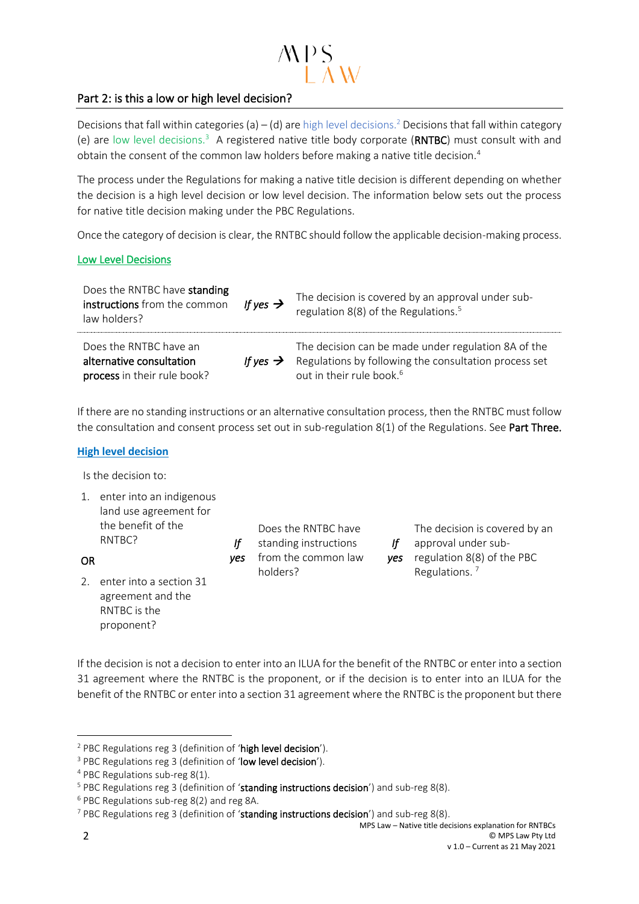# $\angle APS$

### Part 2: is this a low or high level decision?

Decisions that fall within categories (a) – (d) are high level decisions.<sup>2</sup> Decisions that fall within category (e) are low level decisions.<sup>3</sup> A registered native title body corporate (RNTBC) must consult with and obtain the consent of the common law holders before making a native title decision.<sup>4</sup>

The process under the Regulations for making a native title decision is different depending on whether the decision is a high level decision or low level decision. The information below sets out the process for native title decision making under the PBC Regulations.

Once the category of decision is clear, the RNTBC should follow the applicable decision-making process.

#### Low Level Decisions

| Does the RNTBC have standing<br>instructions from the common<br>law holders?      | If yes $\rightarrow$ | The decision is covered by an approval under sub-<br>regulation 8(8) of the Regulations. <sup>5</sup>                                                |
|-----------------------------------------------------------------------------------|----------------------|------------------------------------------------------------------------------------------------------------------------------------------------------|
| Does the RNTBC have an<br>alternative consultation<br>process in their rule book? | If yes $\rightarrow$ | The decision can be made under regulation 8A of the<br>Regulations by following the consultation process set<br>out in their rule book. <sup>6</sup> |

If there are no standing instructions or an alternative consultation process, then the RNTBC must follow the consultation and consent process set out in sub-regulation  $8(1)$  of the Regulations. See Part Three.

#### **High level decision**

Is the decision to:

1. enter into an indigenous land use agreement for the benefit of the RNTBC?

OR

2. enter into a section 31 agreement and the RNTBC is the proponent?

*If yes*  from the common law Does the RNTBC have standing instructions holders?

*If yes* regulation 8(8) of the PBC The decision is covered by an approval under sub-Regulations. <sup>7</sup>

If the decision is not a decision to enter into an ILUA for the benefit of the RNTBC or enter into a section 31 agreement where the RNTBC is the proponent, or if the decision is to enter into an ILUA for the benefit of the RNTBC or enter into a section 31 agreement where the RNTBC is the proponent but there

<sup>&</sup>lt;sup>2</sup> PBC Regulations reg 3 (definition of 'high level decision').

<sup>&</sup>lt;sup>3</sup> PBC Regulations reg 3 (definition of 'low level decision').

<sup>4</sup> PBC Regulations sub-reg 8(1).

 $5$  PBC Regulations reg 3 (definition of 'standing instructions decision') and sub-reg 8(8).

<sup>6</sup> PBC Regulations sub-reg 8(2) and reg 8A.

 $7$  PBC Regulations reg 3 (definition of 'standing instructions decision') and sub-reg 8(8).